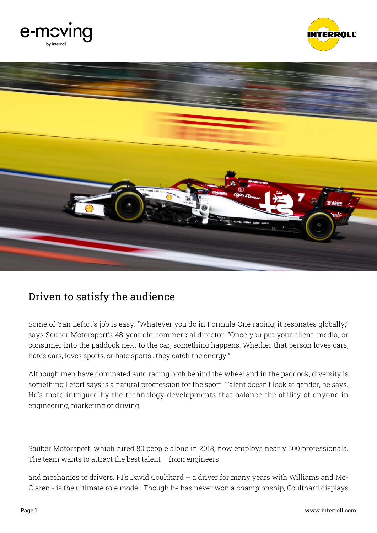





## Driven to satisfy the audience

Some of Yan Lefort's job is easy. "Whatever you do in Formula One racing, it resonates globally," says Sauber Motorsport's 48-year old commercial director. "Once you put your client, media, or consumer into the paddock next to the car, something happens. Whether that person loves cars, hates cars, loves sports, or hate sports…they catch the energy."

Although men have dominated auto racing both behind the wheel and in the paddock, diversity is something Lefort says is a natural progression for the sport. Talent doesn't look at gender, he says. He's more intrigued by the technology developments that balance the ability of anyone in engineering, marketing or driving.

Sauber Motorsport, which hired 80 people alone in 2018, now employs nearly 500 professionals. The team wants to attract the best talent  $-$  from engineers

and mechanics to drivers. F1's David Coulthard – a driver for many years with Williams and Mc-Claren - is the ultimate role model. Though he has never won a championship, Coulthard displays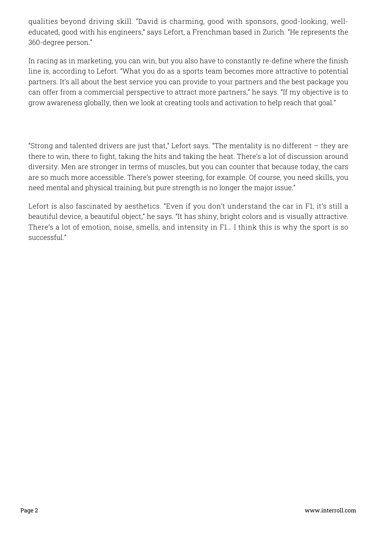qualities beyond driving skill. "David is charming, good with sponsors, good-looking, welleducated, good with his engineers," says Lefort, a Frenchman based in Zurich. "He represents the 360-degree person."

In racing as in marketing, you can win, but you also have to constantly re-define where the finish line is, according to Lefort. "What you do as a sports team becomes more attractive to potential partners. It's all about the best service you can provide to your partners and the best package you can offer from a commercial perspective to attract more partners," he says. "If my objective is to grow awareness globally, then we look at creating tools and activation to help reach that goal."

"Strong and talented drivers are just that," Lefort says. "The mentality is no different  $-$  they are there to win, there to fight, taking the hits and taking the heat. There's a lot of discussion around diversity. Men are stronger in terms of muscles, but you can counter that because today, the cars are so much more accessible. There's power steering, for example. Of course, you need skills, you need mental and physical training, but pure strength is no longer the major issue."

Lefort is also fascinated by aesthetics. "Even if you don't understand the car in F1, it's still a beautiful device, a beautiful object," he says. "It has shiny, bright colors and is visually attractive. There's a lot of emotion, noise, smells, and intensity in F1… I think this is why the sport is so successful."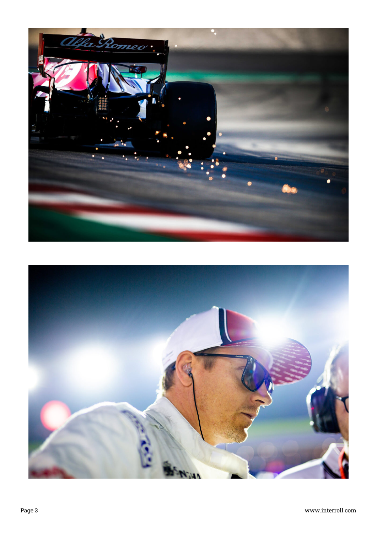

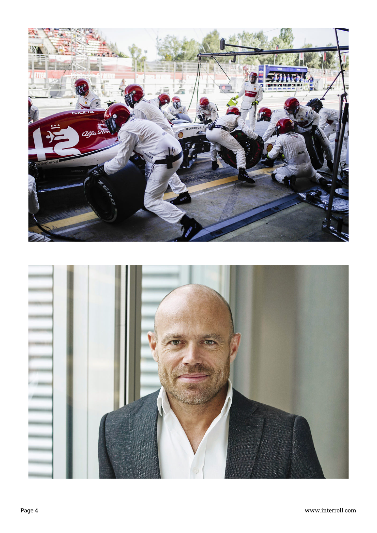